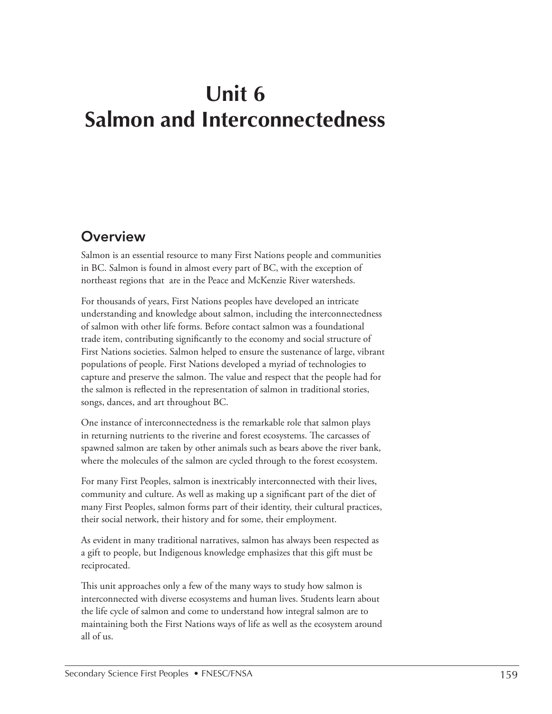# **Unit 6 Salmon and Interconnectedness**

## **Overview**

Salmon is an essential resource to many First Nations people and communities in BC. Salmon is found in almost every part of BC, with the exception of northeast regions that are in the Peace and McKenzie River watersheds.

For thousands of years, First Nations peoples have developed an intricate understanding and knowledge about salmon, including the interconnectedness of salmon with other life forms. Before contact salmon was a foundational trade item, contributing significantly to the economy and social structure of First Nations societies. Salmon helped to ensure the sustenance of large, vibrant populations of people. First Nations developed a myriad of technologies to capture and preserve the salmon. The value and respect that the people had for the salmon is reflected in the representation of salmon in traditional stories, songs, dances, and art throughout BC.

One instance of interconnectedness is the remarkable role that salmon plays in returning nutrients to the riverine and forest ecosystems. The carcasses of spawned salmon are taken by other animals such as bears above the river bank, where the molecules of the salmon are cycled through to the forest ecosystem.

For many First Peoples, salmon is inextricably interconnected with their lives, community and culture. As well as making up a significant part of the diet of many First Peoples, salmon forms part of their identity, their cultural practices, their social network, their history and for some, their employment.

As evident in many traditional narratives, salmon has always been respected as a gift to people, but Indigenous knowledge emphasizes that this gift must be reciprocated.

This unit approaches only a few of the many ways to study how salmon is interconnected with diverse ecosystems and human lives. Students learn about the life cycle of salmon and come to understand how integral salmon are to maintaining both the First Nations ways of life as well as the ecosystem around all of us.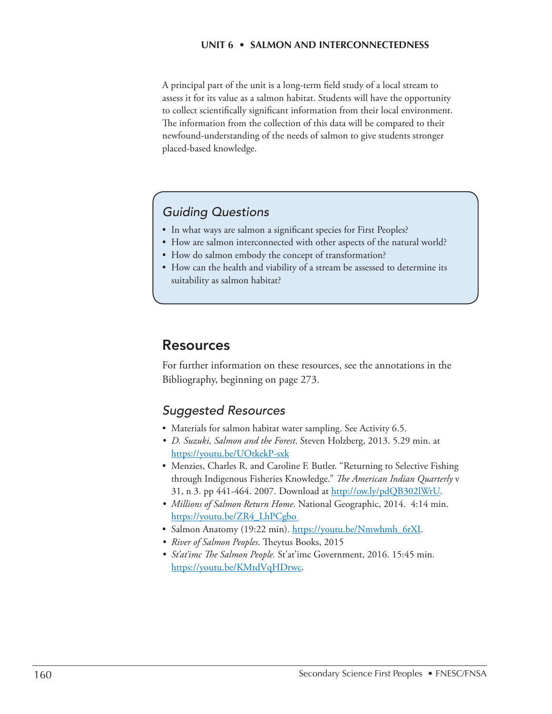A principal part of the unit is a long-term field study of a local stream to assess it for its value as a salmon habitat. Students will have the opportunity to collect scientifically significant information from their local environment. The information from the collection of this data will be compared to their newfound-understanding of the needs of salmon to give students stronger placed-based knowledge.

### *Guiding Questions*

- In what ways are salmon a significant species for First Peoples?
- How are salmon interconnected with other aspects of the natural world?
- How do salmon embody the concept of transformation?
- How can the health and viability of a stream be assessed to determine its suitability as salmon habitat?

### Resources

For further information on these resources, see the annotations in the Bibliography, beginning on page 273.

### *Suggested Resources*

- Materials for salmon habitat water sampling. See Activity 6.5.
- *• D. Suzuki, Salmon and the Forest*. Steven Holzberg, 2013. 5.29 min. at https://youtu.be/UOtkekP-sxk
- Menzies, Charles R. and Caroline F. Butler. "Returning to Selective Fishing through Indigenous Fisheries Knowledge." *The American Indian Quarterly* v 31, n 3. pp 441-464. 2007. Download at http://ow.ly/pdQB302lWrU.
- *• Millions of Salmon Return Home*. National Geographic, 2014. 4:14 min. [https://youtu.be/ZR4\\_LhPCgbo](https://youtu.be/ZR4_LhPCgbo)
- Salmon Anatomy (19:22 min). [https://youtu.be/Nmwhmh\\_6rXI.](https://youtu.be/Nmwhmh_6rXI)
- *• River of Salmon Peoples*. Theytus Books, 2015
- *• St'at'imc The Salmon People.* St'at'imc Government, 2016. 15:45 min. https://youtu.be/KMtdVqHDrwc.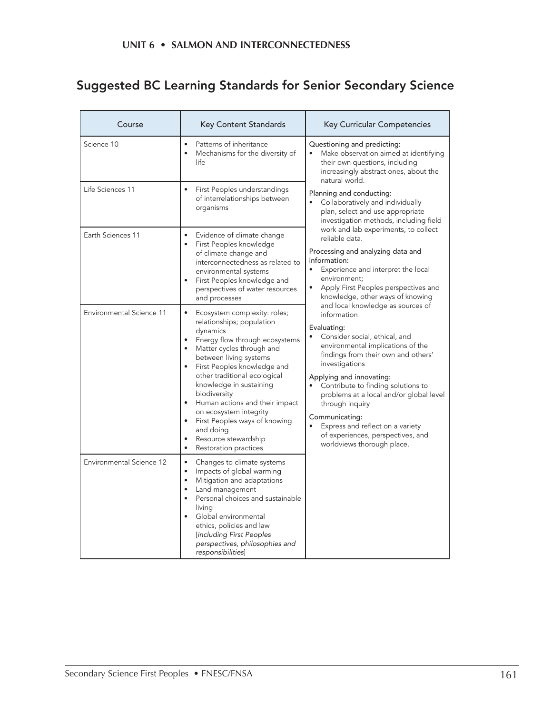## Suggested BC Learning Standards for Senior Secondary Science

| Course                   | <b>Key Content Standards</b>                                                                                                                                                                                                                                                                                                                                                                                                                     | Key Curricular Competencies                                                                                                                                                                                                                                                                                                                                                                                                                                                                                                                                                                                                                                                                                                                                                                                                                                                                                                                                                                                                              |  |
|--------------------------|--------------------------------------------------------------------------------------------------------------------------------------------------------------------------------------------------------------------------------------------------------------------------------------------------------------------------------------------------------------------------------------------------------------------------------------------------|------------------------------------------------------------------------------------------------------------------------------------------------------------------------------------------------------------------------------------------------------------------------------------------------------------------------------------------------------------------------------------------------------------------------------------------------------------------------------------------------------------------------------------------------------------------------------------------------------------------------------------------------------------------------------------------------------------------------------------------------------------------------------------------------------------------------------------------------------------------------------------------------------------------------------------------------------------------------------------------------------------------------------------------|--|
| Science 10               | Patterns of inheritance<br>$\bullet$<br>Mechanisms for the diversity of<br>life                                                                                                                                                                                                                                                                                                                                                                  | Questioning and predicting:<br>Make observation aimed at identifying<br>their own questions, including<br>increasingly abstract ones, about the<br>natural world.<br>Planning and conducting:<br>Collaboratively and individually<br>plan, select and use appropriate<br>investigation methods, including field<br>work and lab experiments, to collect<br>reliable data.<br>Processing and analyzing data and<br>information:<br>Experience and interpret the local<br>$\bullet$<br>environment;<br>Apply First Peoples perspectives and<br>knowledge, other ways of knowing<br>and local knowledge as sources of<br>information<br>Evaluating:<br>Consider social, ethical, and<br>environmental implications of the<br>findings from their own and others'<br>investigations<br>Applying and innovating:<br>Contribute to finding solutions to<br>problems at a local and/or global level<br>through inquiry<br>Communicating:<br>Express and reflect on a variety<br>of experiences, perspectives, and<br>worldviews thorough place. |  |
| Life Sciences 11         | First Peoples understandings<br>of interrelationships between<br>organisms                                                                                                                                                                                                                                                                                                                                                                       |                                                                                                                                                                                                                                                                                                                                                                                                                                                                                                                                                                                                                                                                                                                                                                                                                                                                                                                                                                                                                                          |  |
| Earth Sciences 11        | $\bullet$<br>Evidence of climate change<br>First Peoples knowledge<br>$\bullet$<br>of climate change and<br>interconnectedness as related to<br>environmental systems<br>First Peoples knowledge and<br>$\bullet$<br>perspectives of water resources<br>and processes                                                                                                                                                                            |                                                                                                                                                                                                                                                                                                                                                                                                                                                                                                                                                                                                                                                                                                                                                                                                                                                                                                                                                                                                                                          |  |
| Environmental Science 11 | Ecosystem complexity: roles;<br>relationships; population<br>dynamics<br>Energy flow through ecosystems<br>$\bullet$<br>Matter cycles through and<br>between living systems<br>First Peoples knowledge and<br>other traditional ecological<br>knowledge in sustaining<br>biodiversity<br>Human actions and their impact<br>on ecosystem integrity<br>First Peoples ways of knowing<br>and doing<br>Resource stewardship<br>Restoration practices |                                                                                                                                                                                                                                                                                                                                                                                                                                                                                                                                                                                                                                                                                                                                                                                                                                                                                                                                                                                                                                          |  |
| Environmental Science 12 | $\bullet$<br>Changes to climate systems<br>Impacts of global warming<br>$\bullet$<br>$\bullet$<br>Mitigation and adaptations<br>Land management<br>$\bullet$<br>Personal choices and sustainable<br>living<br>Global environmental<br>ethics, policies and law<br>[including First Peoples<br>perspectives, philosophies and<br>responsibilities]                                                                                                |                                                                                                                                                                                                                                                                                                                                                                                                                                                                                                                                                                                                                                                                                                                                                                                                                                                                                                                                                                                                                                          |  |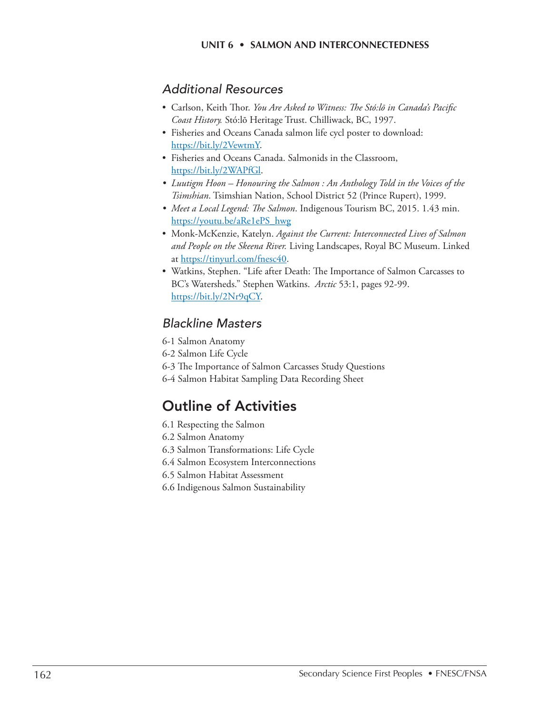### *Additional Resources*

- Carlson, Keith Thor. *You Are Asked to Witness: The Stó:lō in Canada's Pacific Coast History.* Stó:lō Heritage Trust. Chilliwack, BC, 1997.
- Fisheries and Oceans Canada salmon life cycl poster to download: <https://bit.ly/2VewtmY>.
- Fisheries and Oceans Canada. Salmonids in the Classroom, <https://bit.ly/2WAPfGl.>
- *• Luutigm Hoon Honouring the Salmon : An Anthology Told in the Voices of the Tsimshian*. Tsimshian Nation, School District 52 (Prince Rupert), 1999.
- *• Meet a Local Legend: The Salmon*. Indigenous Tourism BC, 2015. 1.43 min. [https://youtu.be/aRe1ePS\\_hwg](https://youtu.be/aRe1ePS_hwg)
- Monk-McKenzie, Katelyn. *Against the Current: Interconnected Lives of Salmon and People on the Skeena River.* Living Landscapes, Royal BC Museum. Linked at https://tinyurl.com/fnesc40.
- Watkins, Stephen. "Life after Death: The Importance of Salmon Carcasses to BC's Watersheds." Stephen Watkins. *Arctic* 53:1, pages 92-99. [https://bit.ly/2Nr9qCY.](https://bit.ly/2Nr9qCY)

### *Blackline Masters*

- 6-1 Salmon Anatomy
- 6-2 Salmon Life Cycle
- 6-3 The Importance of Salmon Carcasses Study Questions
- 6-4 Salmon Habitat Sampling Data Recording Sheet

## Outline of Activities

- 6.1 Respecting the Salmon
- 6.2 Salmon Anatomy
- 6.3 Salmon Transformations: Life Cycle
- 6.4 Salmon Ecosystem Interconnections
- 6.5 Salmon Habitat Assessment
- 6.6 Indigenous Salmon Sustainability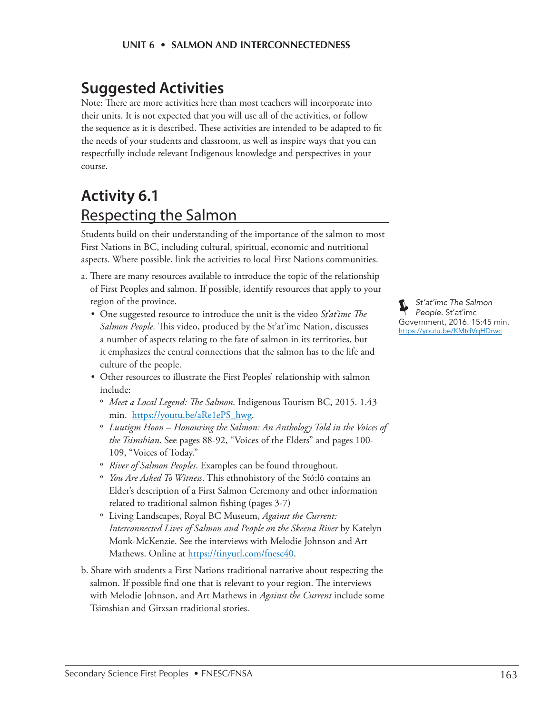## **Suggested Activities**

Note: There are more activities here than most teachers will incorporate into their units. It is not expected that you will use all of the activities, or follow the sequence as it is described. These activities are intended to be adapted to fit the needs of your students and classroom, as well as inspire ways that you can respectfully include relevant Indigenous knowledge and perspectives in your course.

## **Activity 6.1** Respecting the Salmon

Students build on their understanding of the importance of the salmon to most First Nations in BC, including cultural, spiritual, economic and nutritional aspects. Where possible, link the activities to local First Nations communities.

- a. There are many resources available to introduce the topic of the relationship of First Peoples and salmon. If possible, identify resources that apply to your region of the province.
	- One suggested resource to introduce the unit is the video *St'at'imc The Salmon People.* This video, produced by the St'at'imc Nation, discusses a number of aspects relating to the fate of salmon in its territories, but it emphasizes the central connections that the salmon has to the life and culture of the people.
	- Other resources to illustrate the First Peoples' relationship with salmon include:
		- º *Meet a Local Legend: The Salmon*. Indigenous Tourism BC, 2015. 1.43 min. [https://youtu.be/aRe1ePS\\_hwg](https://youtu.be/aRe1ePS_hwg).
		- º *Luutigm Hoon Honouring the Salmon: An Anthology Told in the Voices of the Tsimshian*. See pages 88-92, "Voices of the Elders" and pages 100- 109, "Voices of Today."
		- º *River of Salmon Peoples*. Examples can be found throughout.
		- º *You Are Asked To Witness*. This ethnohistory of the Stó:lō contains an Elder's description of a First Salmon Ceremony and other information related to traditional salmon fishing (pages 3-7)
		- º Living Landscapes, Royal BC Museum, *Against the Current: Interconnected Lives of Salmon and People on the Skeena River* by Katelyn Monk-McKenzie. See the interviews with Melodie Johnson and Art Mathews. Online at https://tinyurl.com/fnesc40.
- b. Share with students a First Nations traditional narrative about respecting the salmon. If possible find one that is relevant to your region. The interviews with Melodie Johnson, and Art Mathews in *Against the Current* include some Tsimshian and Gitxsan traditional stories.

*St'at'imc The Salmon People.* St'at'imc Government, 2016. 15:45 min. <https://youtu.be/KMtdVqHDrwc>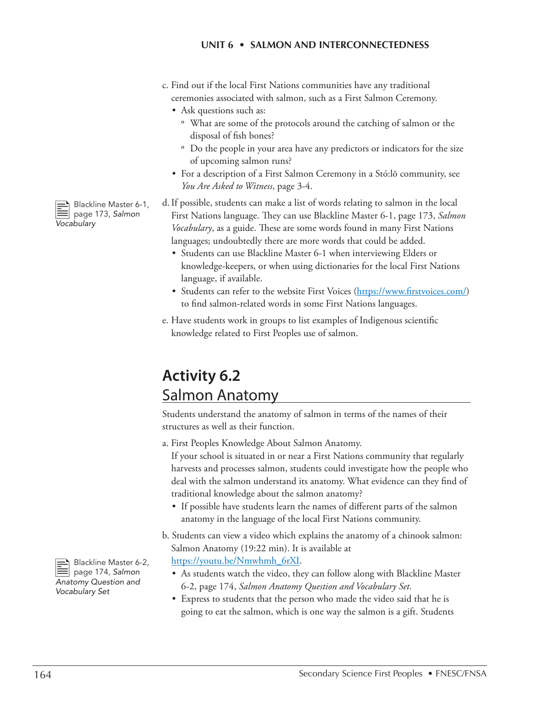- c. Find out if the local First Nations communities have any traditional ceremonies associated with salmon, such as a First Salmon Ceremony.
	- Ask questions such as:
		- º What are some of the protocols around the catching of salmon or the disposal of fish bones?
		- º Do the people in your area have any predictors or indicators for the size of upcoming salmon runs?
	- For a description of a First Salmon Ceremony in a Stó:lō community, see *You Are Asked to Witness*, page 3-4.
- d.If possible, students can make a list of words relating to salmon in the local First Nations language. They can use Blackline Master 6-1, page 173, *Salmon Vocabulary*, as a guide. These are some words found in many First Nations languages; undoubtedly there are more words that could be added.
	- Students can use Blackline Master 6-1 when interviewing Elders or knowledge-keepers, or when using dictionaries for the local First Nations language, if available.
	- Students can refer to the website First Voices (https://www.firstvoices.com/) to find salmon-related words in some First Nations languages.
- e. Have students work in groups to list examples of Indigenous scientific knowledge related to First Peoples use of salmon.

## **Activity 6.2** Salmon Anatomy

Students understand the anatomy of salmon in terms of the names of their structures as well as their function.

a. First Peoples Knowledge About Salmon Anatomy.

If your school is situated in or near a First Nations community that regularly harvests and processes salmon, students could investigate how the people who deal with the salmon understand its anatomy. What evidence can they find of traditional knowledge about the salmon anatomy?

- If possible have students learn the names of different parts of the salmon anatomy in the language of the local First Nations community.
- b. Students can view a video which explains the anatomy of a chinook salmon: Salmon Anatomy (19:22 min). It is available at [https://youtu.be/Nmwhmh\\_6rXI](https://youtu.be/Nmwhmh_6rXI).
	- As students watch the video, they can follow along with Blackline Master 6-2, page 174, *Salmon Anatomy Question and Vocabulary Set*.
	- Express to students that the person who made the video said that he is going to eat the salmon, which is one way the salmon is a gift. Students

 $\implies$  Blackline Master 6-1, page 173, *Salmon Vocabulary*

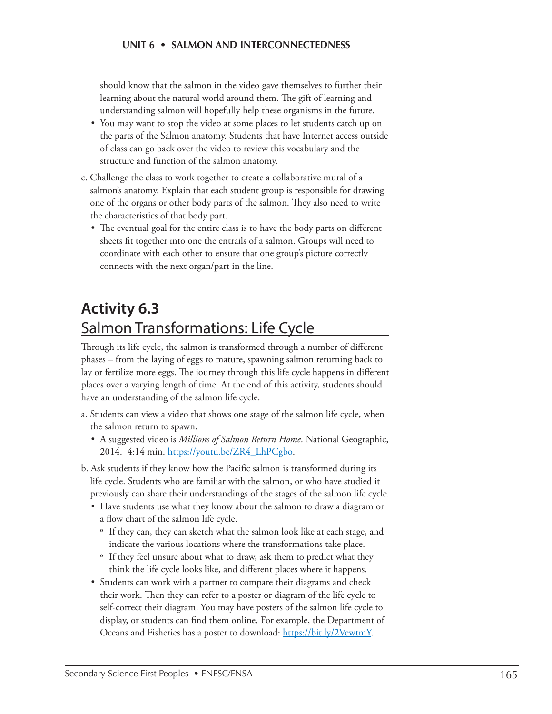should know that the salmon in the video gave themselves to further their learning about the natural world around them. The gift of learning and understanding salmon will hopefully help these organisms in the future.

- You may want to stop the video at some places to let students catch up on the parts of the Salmon anatomy. Students that have Internet access outside of class can go back over the video to review this vocabulary and the structure and function of the salmon anatomy.
- c. Challenge the class to work together to create a collaborative mural of a salmon's anatomy. Explain that each student group is responsible for drawing one of the organs or other body parts of the salmon. They also need to write the characteristics of that body part.
	- The eventual goal for the entire class is to have the body parts on different sheets fit together into one the entrails of a salmon. Groups will need to coordinate with each other to ensure that one group's picture correctly connects with the next organ/part in the line.

## **Activity 6.3** Salmon Transformations: Life Cycle

Through its life cycle, the salmon is transformed through a number of different phases – from the laying of eggs to mature, spawning salmon returning back to lay or fertilize more eggs. The journey through this life cycle happens in different places over a varying length of time. At the end of this activity, students should have an understanding of the salmon life cycle.

- a. Students can view a video that shows one stage of the salmon life cycle, when the salmon return to spawn.
	- A suggested video is *Millions of Salmon Return Home*. National Geographic, 2014. 4:14 min. [https://youtu.be/ZR4\\_LhPCgbo.](https://youtu.be/ZR4_LhPCgbo)
- b. Ask students if they know how the Pacific salmon is transformed during its life cycle. Students who are familiar with the salmon, or who have studied it previously can share their understandings of the stages of the salmon life cycle.
	- Have students use what they know about the salmon to draw a diagram or a flow chart of the salmon life cycle.
		- º If they can, they can sketch what the salmon look like at each stage, and indicate the various locations where the transformations take place.
		- º If they feel unsure about what to draw, ask them to predict what they think the life cycle looks like, and different places where it happens.
	- Students can work with a partner to compare their diagrams and check their work. Then they can refer to a poster or diagram of the life cycle to self-correct their diagram. You may have posters of the salmon life cycle to display, or students can find them online. For example, the Department of Oceans and Fisheries has a poster to download: [https://bit.ly/2VewtmY.](https://bit.ly/2VewtmY)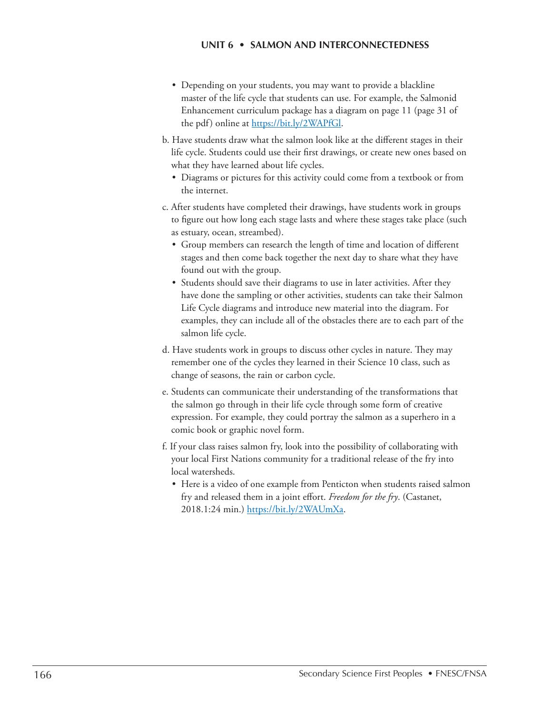- Depending on your students, you may want to provide a blackline master of the life cycle that students can use. For example, the Salmonid Enhancement curriculum package has a diagram on page 11 (page 31 of the pdf) online at<https://bit.ly/2WAPfGl.>
- b. Have students draw what the salmon look like at the different stages in their life cycle. Students could use their first drawings, or create new ones based on what they have learned about life cycles.
	- Diagrams or pictures for this activity could come from a textbook or from the internet.
- c. After students have completed their drawings, have students work in groups to figure out how long each stage lasts and where these stages take place (such as estuary, ocean, streambed).
	- Group members can research the length of time and location of different stages and then come back together the next day to share what they have found out with the group.
	- Students should save their diagrams to use in later activities. After they have done the sampling or other activities, students can take their Salmon Life Cycle diagrams and introduce new material into the diagram. For examples, they can include all of the obstacles there are to each part of the salmon life cycle.
- d. Have students work in groups to discuss other cycles in nature. They may remember one of the cycles they learned in their Science 10 class, such as change of seasons, the rain or carbon cycle.
- e. Students can communicate their understanding of the transformations that the salmon go through in their life cycle through some form of creative expression. For example, they could portray the salmon as a superhero in a comic book or graphic novel form.
- f. If your class raises salmon fry, look into the possibility of collaborating with your local First Nations community for a traditional release of the fry into local watersheds.
	- Here is a video of one example from Penticton when students raised salmon fry and released them in a joint effort. *Freedom for the fry*. (Castanet, 2018.1:24 min.) [https://bit.ly/2WAUmXa.](https://bit.ly/2WAUmXa)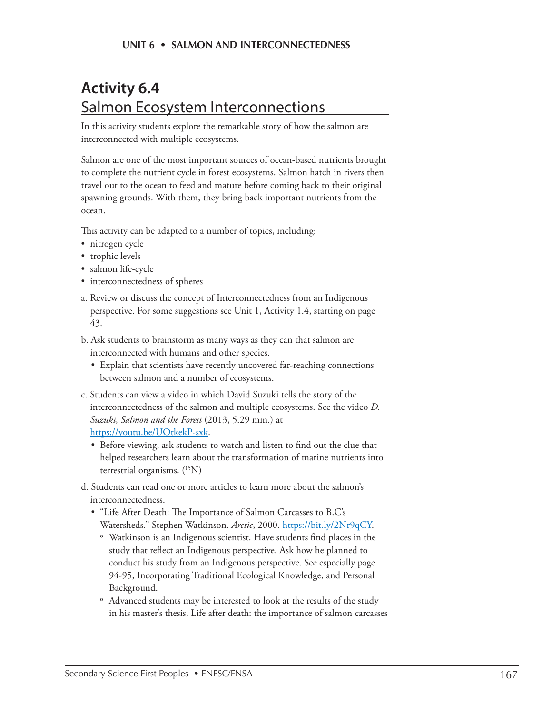## **Activity 6.4**  Salmon Ecosystem Interconnections

In this activity students explore the remarkable story of how the salmon are interconnected with multiple ecosystems.

Salmon are one of the most important sources of ocean-based nutrients brought to complete the nutrient cycle in forest ecosystems. Salmon hatch in rivers then travel out to the ocean to feed and mature before coming back to their original spawning grounds. With them, they bring back important nutrients from the ocean.

This activity can be adapted to a number of topics, including:

- nitrogen cycle
- trophic levels
- salmon life-cycle
- interconnectedness of spheres
- a. Review or discuss the concept of Interconnectedness from an Indigenous perspective. For some suggestions see Unit 1, Activity 1.4, starting on page 43.
- b. Ask students to brainstorm as many ways as they can that salmon are interconnected with humans and other species.
	- Explain that scientists have recently uncovered far-reaching connections between salmon and a number of ecosystems.
- c. Students can view a video in which David Suzuki tells the story of the interconnectedness of the salmon and multiple ecosystems. See the video *D. Suzuki, Salmon and the Forest* (2013, 5.29 min.) at https://youtu.be/UOtkekP-sxk.
	- Before viewing, ask students to watch and listen to find out the clue that helped researchers learn about the transformation of marine nutrients into terrestrial organisms. (<sup>15</sup>N)
- d. Students can read one or more articles to learn more about the salmon's interconnectedness.
	- "Life After Death: The Importance of Salmon Carcasses to B.C's Watersheds." Stephen Watkinson. Arctic, 2000.<https://bit.ly/2Nr9qCY>.
		- º Watkinson is an Indigenous scientist. Have students find places in the study that reflect an Indigenous perspective. Ask how he planned to conduct his study from an Indigenous perspective. See especially page 94-95, Incorporating Traditional Ecological Knowledge, and Personal Background.
		- º Advanced students may be interested to look at the results of the study in his master's thesis, Life after death: the importance of salmon carcasses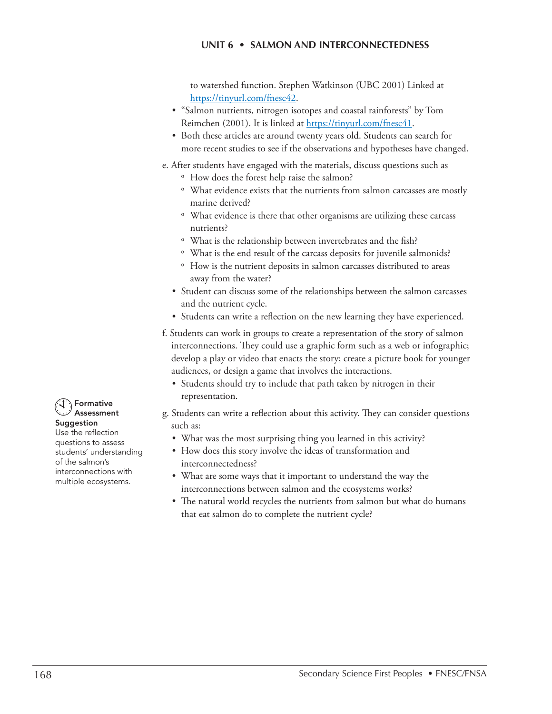to watershed function. Stephen Watkinson (UBC 2001) Linked at https://tinyurl.com/fnesc42.

- "Salmon nutrients, nitrogen isotopes and coastal rainforests" by Tom Reimchen (2001). It is linked at https://tinyurl.com/fnesc41.
- Both these articles are around twenty years old. Students can search for more recent studies to see if the observations and hypotheses have changed.
- e. After students have engaged with the materials, discuss questions such as
	- º How does the forest help raise the salmon?
	- º What evidence exists that the nutrients from salmon carcasses are mostly marine derived?
	- º What evidence is there that other organisms are utilizing these carcass nutrients?
	- º What is the relationship between invertebrates and the fish?
	- º What is the end result of the carcass deposits for juvenile salmonids?
	- º How is the nutrient deposits in salmon carcasses distributed to areas away from the water?
	- Student can discuss some of the relationships between the salmon carcasses and the nutrient cycle.
	- Students can write a reflection on the new learning they have experienced.
- f. Students can work in groups to create a representation of the story of salmon interconnections. They could use a graphic form such as a web or infographic; develop a play or video that enacts the story; create a picture book for younger audiences, or design a game that involves the interactions.
	- Students should try to include that path taken by nitrogen in their representation.
- g. Students can write a reflection about this activity. They can consider questions such as:
	- What was the most surprising thing you learned in this activity?
	- How does this story involve the ideas of transformation and interconnectedness?
	- What are some ways that it important to understand the way the interconnections between salmon and the ecosystems works?
	- The natural world recycles the nutrients from salmon but what do humans that eat salmon do to complete the nutrient cycle?



Suggestion Use the reflection questions to assess students' understanding of the salmon's interconnections with multiple ecosystems.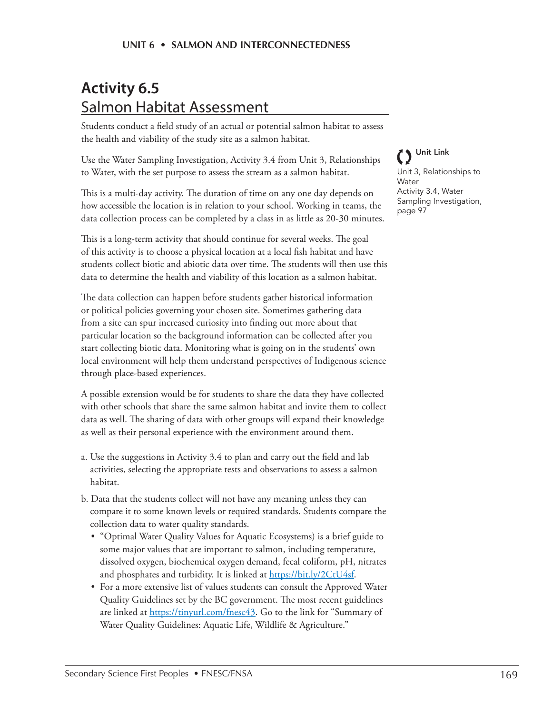## **Activity 6.5**  Salmon Habitat Assessment

Students conduct a field study of an actual or potential salmon habitat to assess the health and viability of the study site as a salmon habitat.

Use the Water Sampling Investigation, Activity 3.4 from Unit 3, Relationships to Water, with the set purpose to assess the stream as a salmon habitat.

This is a multi-day activity. The duration of time on any one day depends on how accessible the location is in relation to your school. Working in teams, the data collection process can be completed by a class in as little as 20-30 minutes.

This is a long-term activity that should continue for several weeks. The goal of this activity is to choose a physical location at a local fish habitat and have students collect biotic and abiotic data over time. The students will then use this data to determine the health and viability of this location as a salmon habitat.

The data collection can happen before students gather historical information or political policies governing your chosen site. Sometimes gathering data from a site can spur increased curiosity into finding out more about that particular location so the background information can be collected after you start collecting biotic data. Monitoring what is going on in the students' own local environment will help them understand perspectives of Indigenous science through place-based experiences.

A possible extension would be for students to share the data they have collected with other schools that share the same salmon habitat and invite them to collect data as well. The sharing of data with other groups will expand their knowledge as well as their personal experience with the environment around them.

- a. Use the suggestions in Activity 3.4 to plan and carry out the field and lab activities, selecting the appropriate tests and observations to assess a salmon habitat.
- b. Data that the students collect will not have any meaning unless they can compare it to some known levels or required standards. Students compare the collection data to water quality standards.
	- "Optimal Water Quality Values for Aquatic Ecosystems) is a brief guide to some major values that are important to salmon, including temperature, dissolved oxygen, biochemical oxygen demand, fecal coliform, pH, nitrates and phosphates and turbidity. It is linked at [https://bit.ly/2CtU4sf.](https://bit.ly/2CtU4sf)
	- For a more extensive list of values students can consult the Approved Water Quality Guidelines set by the BC government. The most recent guidelines are linked at https://tinyurl.com/fnesc43. Go to the link for "Summary of Water Quality Guidelines: Aquatic Life, Wildlife & Agriculture."

Unit Link Unit 3, Relationships to **Water** Activity 3.4, Water Sampling Investigation, page 97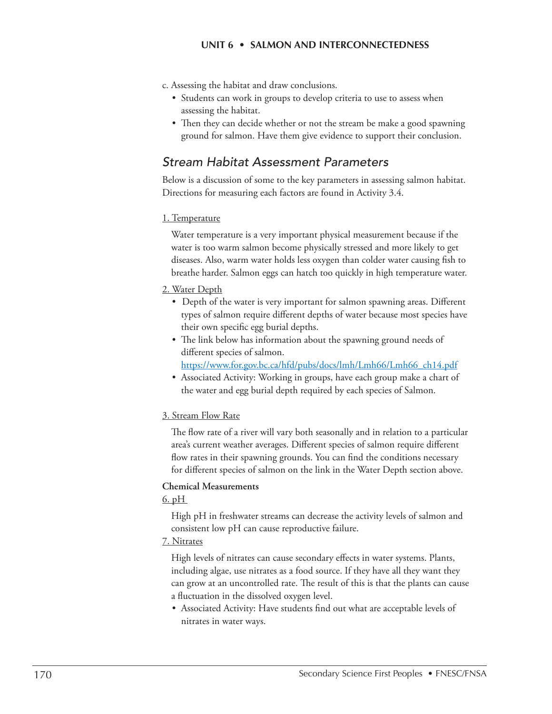- c. Assessing the habitat and draw conclusions.
	- Students can work in groups to develop criteria to use to assess when assessing the habitat.
	- Then they can decide whether or not the stream be make a good spawning ground for salmon. Have them give evidence to support their conclusion.

### *Stream Habitat Assessment Parameters*

Below is a discussion of some to the key parameters in assessing salmon habitat. Directions for measuring each factors are found in Activity 3.4.

#### 1. Temperature

Water temperature is a very important physical measurement because if the water is too warm salmon become physically stressed and more likely to get diseases. Also, warm water holds less oxygen than colder water causing fish to breathe harder. Salmon eggs can hatch too quickly in high temperature water.

#### 2. Water Depth

- Depth of the water is very important for salmon spawning areas. Different types of salmon require different depths of water because most species have their own specific egg burial depths.
- The link below has information about the spawning ground needs of different species of salmon.
	- [https://www.for.gov.bc.ca/hfd/pubs/docs/lmh/Lmh66/Lmh66\\_ch14.pdf](https://www.for.gov.bc.ca/hfd/pubs/docs/lmh/Lmh66/Lmh66_ch14.pdf)
- Associated Activity: Working in groups, have each group make a chart of the water and egg burial depth required by each species of Salmon.

#### 3. Stream Flow Rate

The flow rate of a river will vary both seasonally and in relation to a particular area's current weather averages. Different species of salmon require different flow rates in their spawning grounds. You can find the conditions necessary for different species of salmon on the link in the Water Depth section above.

#### **Chemical Measurements**

#### 6. pH

High pH in freshwater streams can decrease the activity levels of salmon and consistent low pH can cause reproductive failure.

#### 7. Nitrates

High levels of nitrates can cause secondary effects in water systems. Plants, including algae, use nitrates as a food source. If they have all they want they can grow at an uncontrolled rate. The result of this is that the plants can cause a fluctuation in the dissolved oxygen level.

• Associated Activity: Have students find out what are acceptable levels of nitrates in water ways.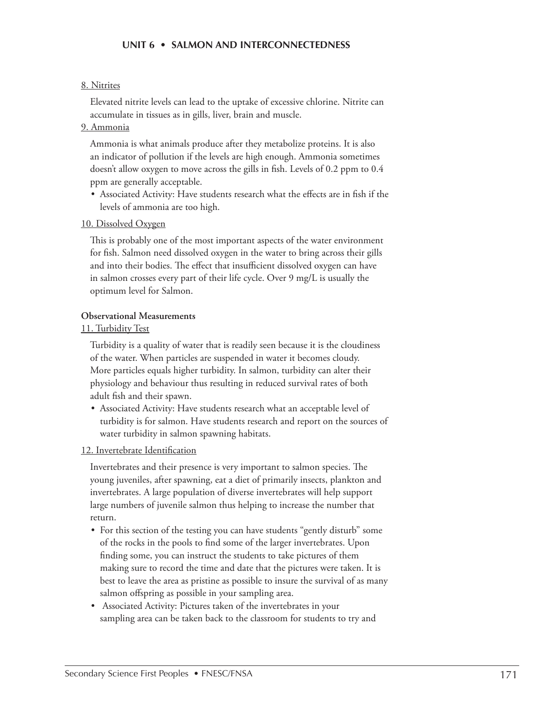#### 8. Nitrites

Elevated nitrite levels can lead to the uptake of excessive chlorine. Nitrite can accumulate in tissues as in gills, liver, brain and muscle.

#### 9. Ammonia

Ammonia is what animals produce after they metabolize proteins. It is also an indicator of pollution if the levels are high enough. Ammonia sometimes doesn't allow oxygen to move across the gills in fish. Levels of 0.2 ppm to 0.4 ppm are generally acceptable.

• Associated Activity: Have students research what the effects are in fish if the levels of ammonia are too high.

#### 10. Dissolved Oxygen

This is probably one of the most important aspects of the water environment for fish. Salmon need dissolved oxygen in the water to bring across their gills and into their bodies. The effect that insufficient dissolved oxygen can have in salmon crosses every part of their life cycle. Over 9 mg/L is usually the optimum level for Salmon.

#### **Observational Measurements**

#### 11. Turbidity Test

Turbidity is a quality of water that is readily seen because it is the cloudiness of the water. When particles are suspended in water it becomes cloudy. More particles equals higher turbidity. In salmon, turbidity can alter their physiology and behaviour thus resulting in reduced survival rates of both adult fish and their spawn.

• Associated Activity: Have students research what an acceptable level of turbidity is for salmon. Have students research and report on the sources of water turbidity in salmon spawning habitats.

#### 12. Invertebrate Identification

Invertebrates and their presence is very important to salmon species. The young juveniles, after spawning, eat a diet of primarily insects, plankton and invertebrates. A large population of diverse invertebrates will help support large numbers of juvenile salmon thus helping to increase the number that return.

- For this section of the testing you can have students "gently disturb" some of the rocks in the pools to find some of the larger invertebrates. Upon finding some, you can instruct the students to take pictures of them making sure to record the time and date that the pictures were taken. It is best to leave the area as pristine as possible to insure the survival of as many salmon offspring as possible in your sampling area.
- Associated Activity: Pictures taken of the invertebrates in your sampling area can be taken back to the classroom for students to try and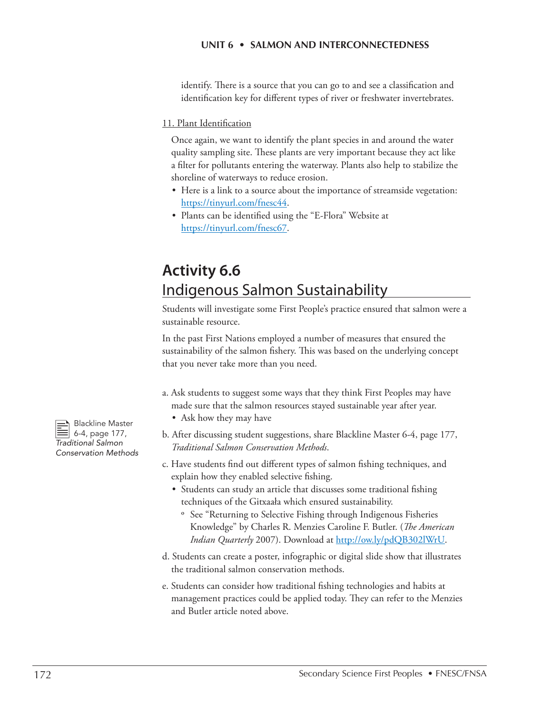identify. There is a source that you can go to and see a classification and identification key for different types of river or freshwater invertebrates.

#### 11. Plant Identification

Once again, we want to identify the plant species in and around the water quality sampling site. These plants are very important because they act like a filter for pollutants entering the waterway. Plants also help to stabilize the shoreline of waterways to reduce erosion.

- Here is a link to a source about the importance of streamside vegetation: https://tinyurl.com/fnesc44.
- Plants can be identified using the "E-Flora" Website at https://tinyurl.com/fnesc67.

## **Activity 6.6** Indigenous Salmon Sustainability

Students will investigate some First People's practice ensured that salmon were a sustainable resource.

In the past First Nations employed a number of measures that ensured the sustainability of the salmon fishery. This was based on the underlying concept that you never take more than you need.

- a. Ask students to suggest some ways that they think First Peoples may have made sure that the salmon resources stayed sustainable year after year.
	- Ask how they may have
- b. After discussing student suggestions, share Blackline Master 6-4, page 177, *Traditional Salmon Conservation Methods*.
- c. Have students find out different types of salmon fishing techniques, and explain how they enabled selective fishing.
	- Students can study an article that discusses some traditional fishing techniques of the Gitxaała which ensured sustainability.
		- º See "Returning to Selective Fishing through Indigenous Fisheries Knowledge" by Charles R. Menzies Caroline F. Butler. (*The American Indian Quarterly* 2007). Download at http://ow.ly/pdQB302lWrU.
- d. Students can create a poster, infographic or digital slide show that illustrates the traditional salmon conservation methods.
- e. Students can consider how traditional fishing technologies and habits at management practices could be applied today. They can refer to the Menzies and Butler article noted above.

Blackline Master<br>
6-4, page 177, *Traditional Salmon Conservation Methods*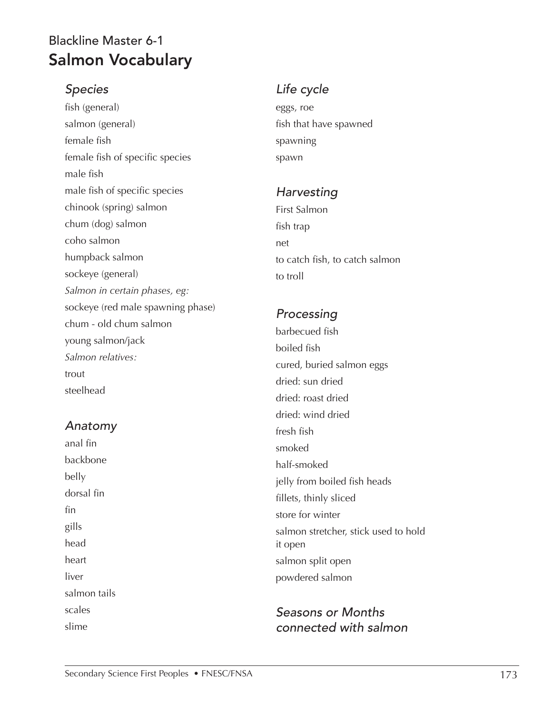## Blackline Master 6-1 Salmon Vocabulary

### *Species*

fish (general) salmon (general) female fish female fish of specific species male fish male fish of specific species chinook (spring) salmon chum (dog) salmon coho salmon humpback salmon sockeye (general) *Salmon in certain phases, eg:* sockeye (red male spawning phase) chum - old chum salmon young salmon/jack *Salmon relatives:* trout steelhead

### *Anatomy*

anal fin backbone belly dorsal fin fin gills head heart liver salmon tails scales slime

### *Life cycle*

eggs, roe fish that have spawned spawning spawn

### *Harvesting*

First Salmon fish trap net to catch fish, to catch salmon to troll

## *Processing*

barbecued fish boiled fish cured, buried salmon eggs dried: sun dried dried: roast dried dried: wind dried fresh fish smoked half-smoked jelly from boiled fish heads fillets, thinly sliced store for winter salmon stretcher, stick used to hold it open salmon split open powdered salmon

### *Seasons or Months connected with salmon*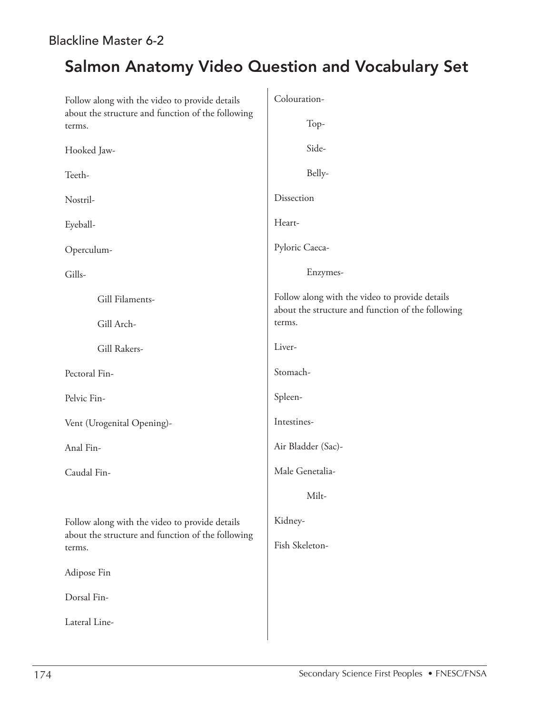### Blackline Master 6-2

## Salmon Anatomy Video Question and Vocabulary Set

| Follow along with the video to provide details<br>about the structure and function of the following | Colouration-                                                                                        |  |  |
|-----------------------------------------------------------------------------------------------------|-----------------------------------------------------------------------------------------------------|--|--|
| terms.                                                                                              | Top-                                                                                                |  |  |
| Hooked Jaw-                                                                                         | Side-                                                                                               |  |  |
| Teeth-                                                                                              | Belly-                                                                                              |  |  |
| Nostril-                                                                                            | Dissection                                                                                          |  |  |
| Eyeball-                                                                                            | Heart-                                                                                              |  |  |
| Operculum-                                                                                          | Pyloric Caeca-                                                                                      |  |  |
| Gills-                                                                                              | Enzymes-                                                                                            |  |  |
| Gill Filaments-                                                                                     | Follow along with the video to provide details<br>about the structure and function of the following |  |  |
| Gill Arch-                                                                                          | terms.                                                                                              |  |  |
| Gill Rakers-                                                                                        | Liver-                                                                                              |  |  |
| Pectoral Fin-                                                                                       | Stomach-                                                                                            |  |  |
| Pelvic Fin-                                                                                         | Spleen-                                                                                             |  |  |
| Vent (Urogenital Opening)-                                                                          | Intestines-                                                                                         |  |  |
| Anal Fin-                                                                                           | Air Bladder (Sac)-                                                                                  |  |  |
| Caudal Fin-                                                                                         | Male Genetalia-                                                                                     |  |  |
|                                                                                                     | Milt-                                                                                               |  |  |
| Follow along with the video to provide details                                                      | Kidney-                                                                                             |  |  |
| about the structure and function of the following<br>terms.                                         | Fish Skeleton-                                                                                      |  |  |
| Adipose Fin                                                                                         |                                                                                                     |  |  |
| Dorsal Fin-                                                                                         |                                                                                                     |  |  |
| Lateral Line-                                                                                       |                                                                                                     |  |  |
|                                                                                                     |                                                                                                     |  |  |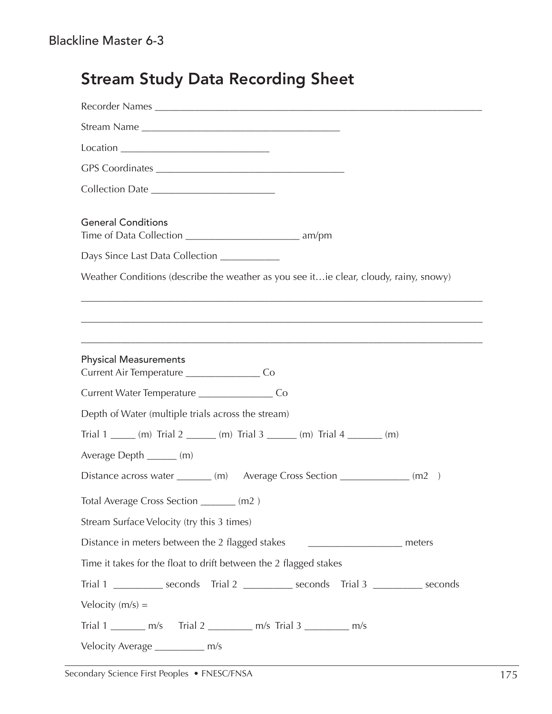| kline Master 6-3                                                                       |
|----------------------------------------------------------------------------------------|
| <b>Stream Study Data Recording Sheet</b>                                               |
|                                                                                        |
|                                                                                        |
|                                                                                        |
|                                                                                        |
|                                                                                        |
|                                                                                        |
| <b>General Conditions</b>                                                              |
| Days Since Last Data Collection _____________                                          |
| Weather Conditions (describe the weather as you see it ie clear, cloudy, rainy, snowy) |
|                                                                                        |
|                                                                                        |
|                                                                                        |
| <b>Physical Measurements</b>                                                           |
| Current Air Temperature _______________________Co                                      |
|                                                                                        |
| Depth of Water (multiple trials across the stream)                                     |
| Trial 1 ______ (m) Trial 2 _______ (m) Trial 3 ______ (m) Trial 4 _______ (m)          |
| Average Depth ______ (m)                                                               |
| Distance across water _______ (m) Average Cross Section ____________ (m2)              |
| Total Average Cross Section _______ (m2)                                               |

Stream Surface Velocity (try this 3 times)

Distance in meters between the 2 flagged stakes \_\_\_\_\_\_\_\_\_\_\_\_\_\_\_\_\_\_\_\_\_\_\_ meters

Time it takes for the float to drift between the 2 flagged stakes

Trial 1 \_\_\_\_\_\_\_\_\_\_ seconds Trial 2 \_\_\_\_\_\_\_\_\_\_ seconds Trial 3 \_\_\_\_\_\_\_\_\_\_ seconds

Velocity  $(m/s) =$ 

Trial 1 \_\_\_\_\_\_\_\_ m/s Trial 2 \_\_\_\_\_\_\_\_\_\_ m/s Trial 3 \_\_\_\_\_\_\_\_\_ m/s

Velocity Average \_\_\_\_\_\_\_\_\_\_ m/s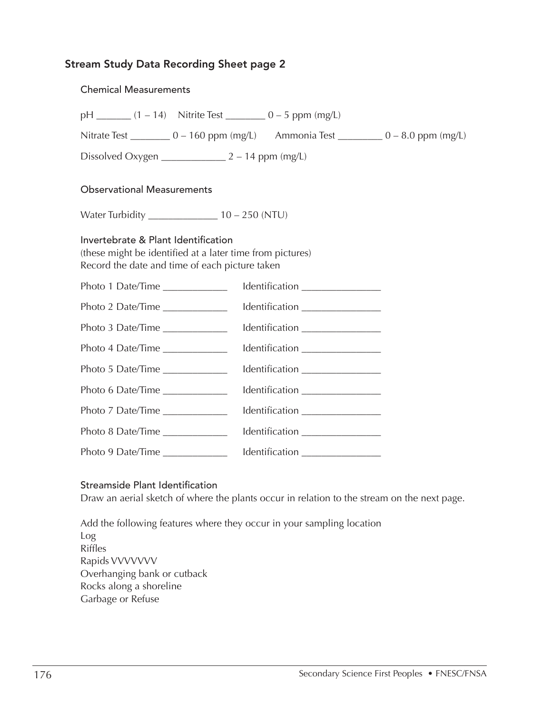#### Stream Study Data Recording Sheet page 2

| <b>Chemical Measurements</b>                                                                                                                       |                                  |                                  |  |  |
|----------------------------------------------------------------------------------------------------------------------------------------------------|----------------------------------|----------------------------------|--|--|
| $pH$ ________ (1 – 14) Nitrite Test __________ 0 – 5 ppm (mg/L)                                                                                    |                                  |                                  |  |  |
| Nitrate Test ___________ 0 - 160 ppm (mg/L) Ammonia Test __________ 0 - 8.0 ppm (mg/L)                                                             |                                  |                                  |  |  |
| Dissolved Oxygen $\_\_\_\_\_\_2 - 14$ ppm (mg/L)                                                                                                   |                                  |                                  |  |  |
| <b>Observational Measurements</b>                                                                                                                  |                                  |                                  |  |  |
|                                                                                                                                                    |                                  |                                  |  |  |
| Invertebrate & Plant Identification<br>(these might be identified at a later time from pictures)<br>Record the date and time of each picture taken |                                  |                                  |  |  |
| Photo 1 Date/Time _____________                                                                                                                    |                                  |                                  |  |  |
| Photo 2 Date/Time _____________                                                                                                                    |                                  |                                  |  |  |
| Photo 3 Date/Time _____________                                                                                                                    |                                  |                                  |  |  |
| Photo 4 Date/Time                                                                                                                                  | Identification _________________ |                                  |  |  |
| Photo 5 Date/Time                                                                                                                                  |                                  | Identification _________________ |  |  |
| Photo 6 Date/Time ______________                                                                                                                   | Identification _________________ |                                  |  |  |
| Photo 7 Date/Time                                                                                                                                  |                                  | Identification ________________  |  |  |
| Photo 8 Date/Time                                                                                                                                  |                                  | Identification ________________  |  |  |
| Photo 9 Date/Time                                                                                                                                  |                                  | Identification ________________  |  |  |

#### Streamside Plant Identification

Draw an aerial sketch of where the plants occur in relation to the stream on the next page.

Add the following features where they occur in your sampling location Log Riffles Rapids VVVVVVV Overhanging bank or cutback Rocks along a shoreline Garbage or Refuse